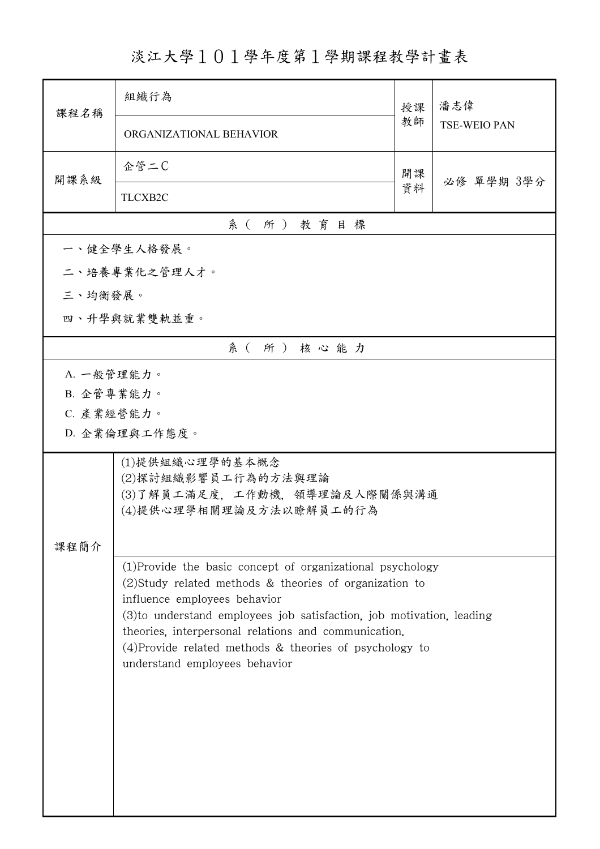淡江大學101學年度第1學期課程教學計畫表

| 課程名稱       | 組織行為                                                                                                                                                                                                                                                                                                                                                                                   | 授課 | 潘志偉                 |  |  |  |  |
|------------|----------------------------------------------------------------------------------------------------------------------------------------------------------------------------------------------------------------------------------------------------------------------------------------------------------------------------------------------------------------------------------------|----|---------------------|--|--|--|--|
|            | ORGANIZATIONAL BEHAVIOR                                                                                                                                                                                                                                                                                                                                                                | 教師 | <b>TSE-WEIO PAN</b> |  |  |  |  |
| 開課系級       | 企管二C                                                                                                                                                                                                                                                                                                                                                                                   | 開課 | 必修 單學期 3學分          |  |  |  |  |
|            | TLCXB2C                                                                                                                                                                                                                                                                                                                                                                                | 資料 |                     |  |  |  |  |
|            | 系(所)教育目標                                                                                                                                                                                                                                                                                                                                                                               |    |                     |  |  |  |  |
|            | 一、健全學生人格發展。                                                                                                                                                                                                                                                                                                                                                                            |    |                     |  |  |  |  |
|            | 二、培養專業化之管理人才。                                                                                                                                                                                                                                                                                                                                                                          |    |                     |  |  |  |  |
| 三、均衡發展。    |                                                                                                                                                                                                                                                                                                                                                                                        |    |                     |  |  |  |  |
|            | 四、升學與就業雙軌並重。                                                                                                                                                                                                                                                                                                                                                                           |    |                     |  |  |  |  |
|            | 系(所)核心能力                                                                                                                                                                                                                                                                                                                                                                               |    |                     |  |  |  |  |
| A. 一般管理能力。 |                                                                                                                                                                                                                                                                                                                                                                                        |    |                     |  |  |  |  |
| B. 企管專業能力。 |                                                                                                                                                                                                                                                                                                                                                                                        |    |                     |  |  |  |  |
| C. 產業經營能力。 |                                                                                                                                                                                                                                                                                                                                                                                        |    |                     |  |  |  |  |
|            | D. 企業倫理與工作態度。                                                                                                                                                                                                                                                                                                                                                                          |    |                     |  |  |  |  |
| 課程簡介       | (1)提供組織心理學的基本概念<br>(2)探討組織影響員工行為的方法與理論<br>(3)了解員工滿足度,工作動機,領導理論及人際關係與溝通<br>(4)提供心理學相關理論及方法以瞭解員工的行為                                                                                                                                                                                                                                                                                      |    |                     |  |  |  |  |
|            | (1) Provide the basic concept of organizational psychology<br>$(2)$ Study related methods & theories of organization to<br>influence employees behavior<br>(3) to understand employees job satisfaction, job motivation, leading<br>theories, interpersonal relations and communication.<br>$(4)$ Provide related methods & theories of psychology to<br>understand employees behavior |    |                     |  |  |  |  |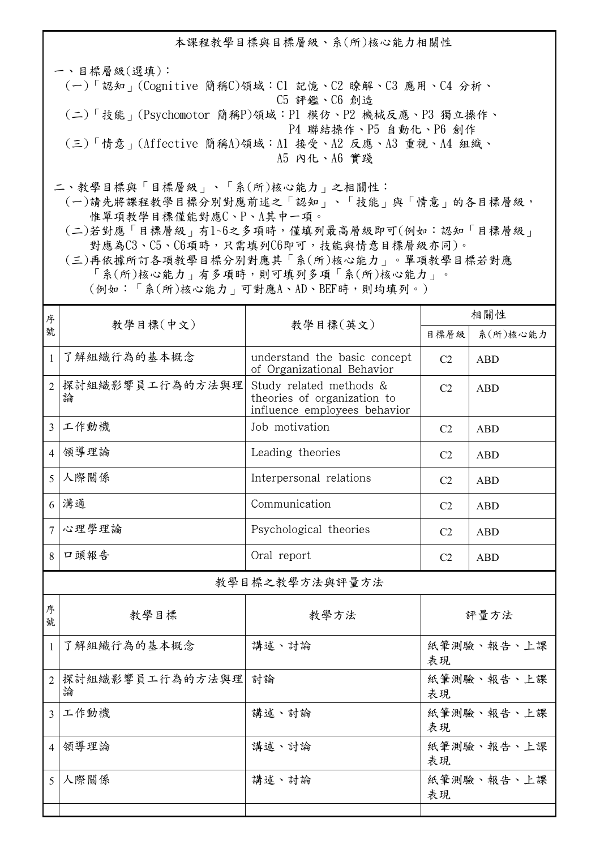本課程教學目標與目標層級、系(所)核心能力相關性

一、目標層級(選填): (一)「認知」(Cognitive 簡稱C)領域:C1 記憶、C2 瞭解、C3 應用、C4 分析、 C5 評鑑、C6 創造 (二)「技能」(Psychomotor 簡稱P)領域:P1 模仿、P2 機械反應、P3 獨立操作、 P4 聯結操作、P5 自動化、P6 創作 (三)「情意」(Affective 簡稱A)領域:A1 接受、A2 反應、A3 重視、A4 組織、 A5 內化、A6 實踐

二、教學目標與「目標層級」、「系(所)核心能力」之相關性:

 (一)請先將課程教學目標分別對應前述之「認知」、「技能」與「情意」的各目標層級, 惟單項教學目標僅能對應C、P、A其中一項。

 (二)若對應「目標層級」有1~6之多項時,僅填列最高層級即可(例如:認知「目標層級」 對應為C3、C5、C6項時,只需填列C6即可,技能與情意目標層級亦同)。

 (三)再依據所訂各項教學目標分別對應其「系(所)核心能力」。單項教學目標若對應 「系(所)核心能力」有多項時,則可填列多項「系(所)核心能力」。 (例如:「系(所)核心能力」可對應A、AD、BEF時,則均填列。)

| 序                        |                                                                           |                                                                                        | 相關性              |            |  |  |
|--------------------------|---------------------------------------------------------------------------|----------------------------------------------------------------------------------------|------------------|------------|--|--|
| 號                        |                                                                           | 教學目標(中文)<br>教學目標(英文)                                                                   |                  | 系(所)核心能力   |  |  |
| $\mathbf{1}$             | 了解組織行為的基本概念<br>understand the basic concept<br>of Organizational Behavior |                                                                                        | C <sub>2</sub>   | <b>ABD</b> |  |  |
| $\overline{2}$           | 探討組織影響員工行為的方法與理<br>論                                                      | Study related methods &<br>theories of organization to<br>influence employees behavior | C <sub>2</sub>   | <b>ABD</b> |  |  |
| $\overline{3}$           | 工作動機<br>Job motivation                                                    |                                                                                        | C <sub>2</sub>   | <b>ABD</b> |  |  |
| $\overline{4}$           | 領導理論<br>Leading theories                                                  |                                                                                        | C <sub>2</sub>   | <b>ABD</b> |  |  |
| $\overline{5}$           | 人際關係                                                                      | Interpersonal relations                                                                | C <sub>2</sub>   | <b>ABD</b> |  |  |
|                          | $6$ 溝通                                                                    | Communication                                                                          | C <sub>2</sub>   | <b>ABD</b> |  |  |
| $\overline{7}$           | 心理學理論                                                                     | Psychological theories                                                                 | C <sub>2</sub>   | <b>ABD</b> |  |  |
| 8                        | 口頭報告                                                                      | Oral report                                                                            | C <sub>2</sub>   | <b>ABD</b> |  |  |
| 教學目標之教學方法與評量方法           |                                                                           |                                                                                        |                  |            |  |  |
| 序<br>號                   | 教學目標                                                                      | 教學方法                                                                                   | 評量方法             |            |  |  |
| $\mathbf{1}$             | 了解組織行為的基本概念                                                               | 講述、討論                                                                                  | 紙筆測驗、報告、上課<br>表現 |            |  |  |
| $\overline{2}$           | 探討組織影響員工行為的方法與理<br>論                                                      | 討論                                                                                     | 紙筆測驗、報告、上課<br>表現 |            |  |  |
| $\overline{\mathcal{E}}$ | 工作動機                                                                      | 講述、討論                                                                                  | 紙筆測驗、報告、上課<br>表現 |            |  |  |
| $\vert$ 4                | 領導理論                                                                      | 講述、討論                                                                                  | 紙筆測驗、報告、上課<br>表現 |            |  |  |
| 5 <sup>1</sup>           | 人際關係                                                                      | 講述、討論                                                                                  | 紙筆測驗、報告、上課<br>表現 |            |  |  |
|                          |                                                                           |                                                                                        |                  |            |  |  |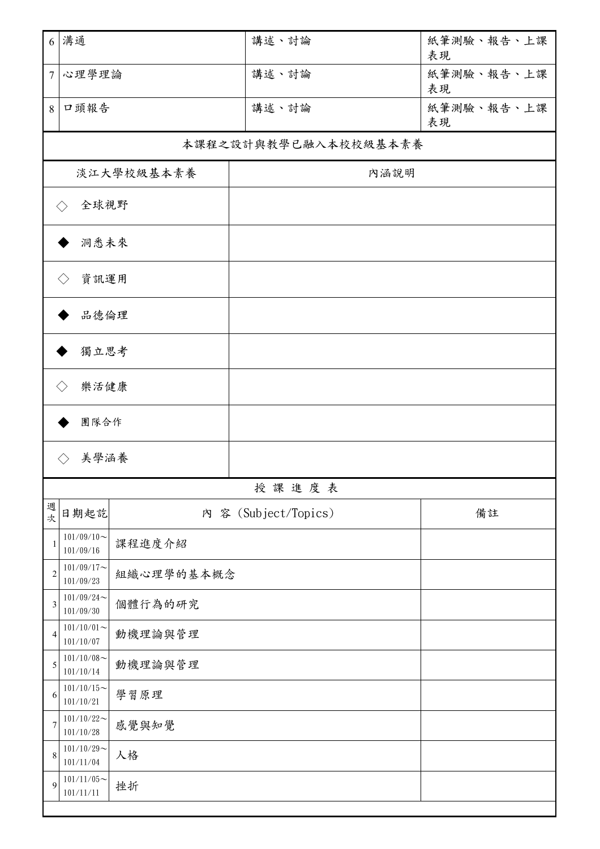| 6              | 溝通                          |            | 講述、討論                | 紙筆測驗、報告、上課<br>表現 |  |  |  |
|----------------|-----------------------------|------------|----------------------|------------------|--|--|--|
| $\overline{7}$ | 心理學理論                       |            | 講述、討論                | 紙筆測驗、報告、上課<br>表現 |  |  |  |
| 8              | 口頭報告                        |            | 講述、討論                | 紙筆測驗、報告、上課<br>表現 |  |  |  |
|                | 本課程之設計與教學已融入本校校級基本素養        |            |                      |                  |  |  |  |
|                | 淡江大學校級基本素養                  |            | 內涵說明                 |                  |  |  |  |
|                | 全球視野<br>$\langle \ \rangle$ |            |                      |                  |  |  |  |
|                | 洞悉未來                        |            |                      |                  |  |  |  |
|                | 資訊運用<br>$\langle \ \rangle$ |            |                      |                  |  |  |  |
|                | 品德倫理                        |            |                      |                  |  |  |  |
|                | 獨立思考                        |            |                      |                  |  |  |  |
| 樂活健康           |                             |            |                      |                  |  |  |  |
|                | 團隊合作                        |            |                      |                  |  |  |  |
|                | 美學涵養                        |            |                      |                  |  |  |  |
|                |                             |            | 授課進度表                |                  |  |  |  |
| 週<br>次         | 日期起訖                        |            | 內 容 (Subject/Topics) | 備註               |  |  |  |
| 1              | $101/09/10$ ~<br>101/09/16  | 課程進度介紹     |                      |                  |  |  |  |
| $\overline{c}$ | $101/09/17$ ~<br>101/09/23  | 組織心理學的基本概念 |                      |                  |  |  |  |
| 3              | $101/09/24$ ~<br>101/09/30  | 個體行為的研究    |                      |                  |  |  |  |
| 4              | $101/10/01$ ~<br>101/10/07  | 動機理論與管理    |                      |                  |  |  |  |
| 5              | $101/10/08$ ~<br>101/10/14  | 動機理論與管理    |                      |                  |  |  |  |
| 6              | $101/10/15$ ~<br>101/10/21  | 學習原理       |                      |                  |  |  |  |
| 7              | $101/10/22$ ~<br>101/10/28  | 感覺與知覺      |                      |                  |  |  |  |
| $\,$ 8 $\,$    | $101/10/29$ ~<br>101/11/04  | 人格         |                      |                  |  |  |  |
| 9              | $101/11/05$ ~<br>101/11/11  | 挫折         |                      |                  |  |  |  |